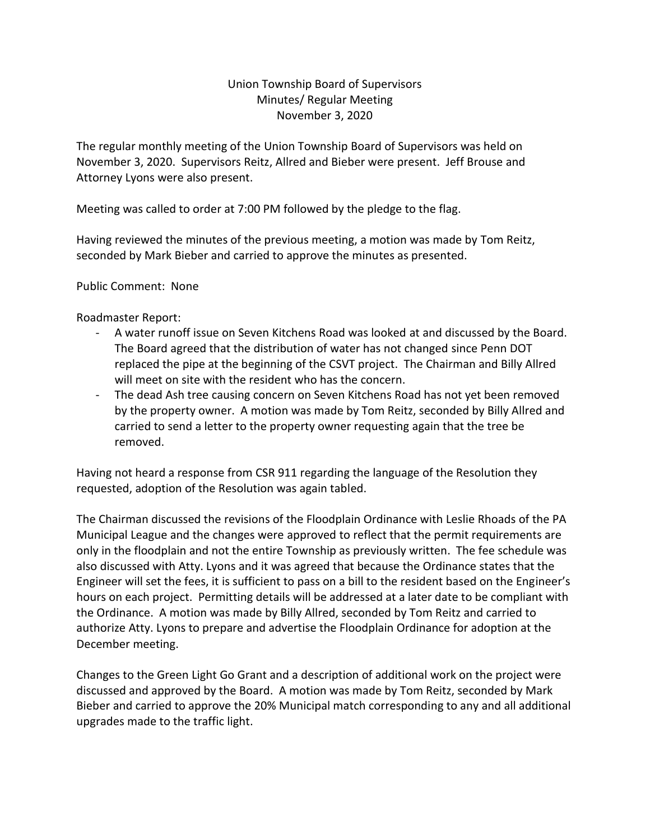## Union Township Board of Supervisors Minutes/ Regular Meeting November 3, 2020

The regular monthly meeting of the Union Township Board of Supervisors was held on November 3, 2020. Supervisors Reitz, Allred and Bieber were present. Jeff Brouse and Attorney Lyons were also present.

Meeting was called to order at 7:00 PM followed by the pledge to the flag.

Having reviewed the minutes of the previous meeting, a motion was made by Tom Reitz, seconded by Mark Bieber and carried to approve the minutes as presented.

Public Comment: None

Roadmaster Report:

- A water runoff issue on Seven Kitchens Road was looked at and discussed by the Board. The Board agreed that the distribution of water has not changed since Penn DOT replaced the pipe at the beginning of the CSVT project. The Chairman and Billy Allred will meet on site with the resident who has the concern.
- The dead Ash tree causing concern on Seven Kitchens Road has not yet been removed by the property owner. A motion was made by Tom Reitz, seconded by Billy Allred and carried to send a letter to the property owner requesting again that the tree be removed.

Having not heard a response from CSR 911 regarding the language of the Resolution they requested, adoption of the Resolution was again tabled.

The Chairman discussed the revisions of the Floodplain Ordinance with Leslie Rhoads of the PA Municipal League and the changes were approved to reflect that the permit requirements are only in the floodplain and not the entire Township as previously written. The fee schedule was also discussed with Atty. Lyons and it was agreed that because the Ordinance states that the Engineer will set the fees, it is sufficient to pass on a bill to the resident based on the Engineer's hours on each project. Permitting details will be addressed at a later date to be compliant with the Ordinance. A motion was made by Billy Allred, seconded by Tom Reitz and carried to authorize Atty. Lyons to prepare and advertise the Floodplain Ordinance for adoption at the December meeting.

Changes to the Green Light Go Grant and a description of additional work on the project were discussed and approved by the Board. A motion was made by Tom Reitz, seconded by Mark Bieber and carried to approve the 20% Municipal match corresponding to any and all additional upgrades made to the traffic light.